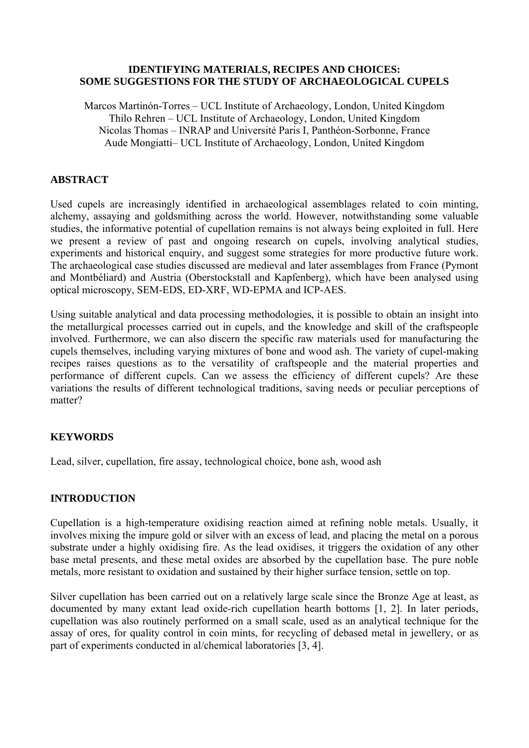### **IDENTIFYING MATERIALS, RECIPES AND CHOICES: SOME SUGGESTIONS FOR THE STUDY OF ARCHAEOLOGICAL CUPELS**

Marcos Martinón-Torres – UCL Institute of Archaeology, London, United Kingdom Thilo Rehren – UCL Institute of Archaeology, London, United Kingdom Nicolas Thomas – INRAP and Université Paris I, Panthéon-Sorbonne, France Aude Mongiatti– UCL Institute of Archaeology, London, United Kingdom

## **ABSTRACT**

Used cupels are increasingly identified in archaeological assemblages related to coin minting, alchemy, assaying and goldsmithing across the world. However, notwithstanding some valuable studies, the informative potential of cupellation remains is not always being exploited in full. Here we present a review of past and ongoing research on cupels, involving analytical studies, experiments and historical enquiry, and suggest some strategies for more productive future work. The archaeological case studies discussed are medieval and later assemblages from France (Pymont and Montbéliard) and Austria (Oberstockstall and Kapfenberg), which have been analysed using optical microscopy, SEM-EDS, ED-XRF, WD-EPMA and ICP-AES.

Using suitable analytical and data processing methodologies, it is possible to obtain an insight into the metallurgical processes carried out in cupels, and the knowledge and skill of the craftspeople involved. Furthermore, we can also discern the specific raw materials used for manufacturing the cupels themselves, including varying mixtures of bone and wood ash. The variety of cupel-making recipes raises questions as to the versatility of craftspeople and the material properties and performance of different cupels. Can we assess the efficiency of different cupels? Are these variations the results of different technological traditions, saving needs or peculiar perceptions of matter?

## **KEYWORDS**

Lead, silver, cupellation, fire assay, technological choice, bone ash, wood ash

## **INTRODUCTION**

Cupellation is a high-temperature oxidising reaction aimed at refining noble metals. Usually, it involves mixing the impure gold or silver with an excess of lead, and placing the metal on a porous substrate under a highly oxidising fire. As the lead oxidises, it triggers the oxidation of any other base metal presents, and these metal oxides are absorbed by the cupellation base. The pure noble metals, more resistant to oxidation and sustained by their higher surface tension, settle on top.

Silver cupellation has been carried out on a relatively large scale since the Bronze Age at least, as documented by many extant lead oxide-rich cupellation hearth bottoms [1, 2]. In later periods, cupellation was also routinely performed on a small scale, used as an analytical technique for the assay of ores, for quality control in coin mints, for recycling of debased metal in jewellery, or as part of experiments conducted in al/chemical laboratories [3, 4].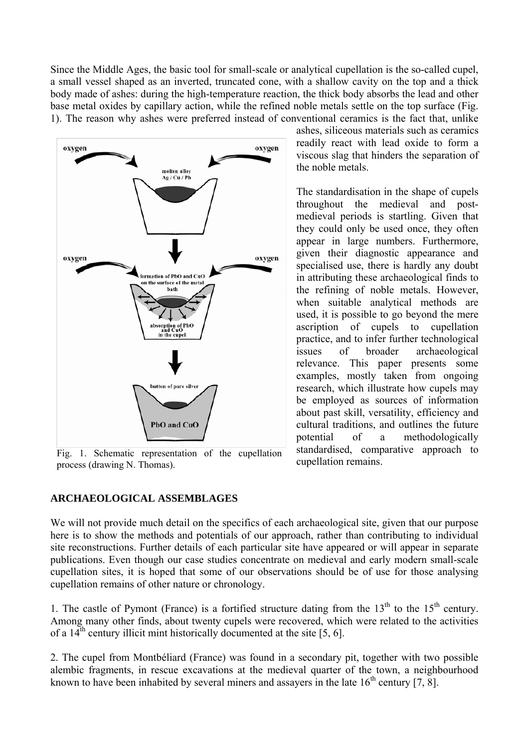Since the Middle Ages, the basic tool for small-scale or analytical cupellation is the so-called cupel, a small vessel shaped as an inverted, truncated cone, with a shallow cavity on the top and a thick body made of ashes: during the high-temperature reaction, the thick body absorbs the lead and other base metal oxides by capillary action, while the refined noble metals settle on the top surface (Fig. 1). The reason why ashes were preferred instead of conventional ceramics is the fact that, unlike



Fig. 1. Schematic representation of the cupellation standardised, comp<br>process  $(r_1/r_2)$  Thomas) process (drawing N. Thomas).

ashes, siliceous materials such as ceramics readily react with lead oxide to form a viscous slag that hinders the separation of the noble metals.

The standardisation in the shape of cupels throughout the medieval and postmedieval periods is startling. Given that they could only be used once, they often appear in large numbers. Furthermore, given their diagnostic appearance and specialised use, there is hardly any doubt in attributing these archaeological finds to the refining of noble metals. However, when suitable analytical methods are used, it is possible to go beyond the mere ascription of cupels to cupellation practice, and to infer further technological issues of broader archaeological relevance. This paper presents some examples, mostly taken from ongoing research, which illustrate how cupels may be employed as sources of information about past skill, versatility, efficiency and cultural traditions, and outlines the future potential of a methodologically standardised, comparative approach to

## **ARCHAEOLOGICAL ASSEMBLAGES**

We will not provide much detail on the specifics of each archaeological site, given that our purpose here is to show the methods and potentials of our approach, rather than contributing to individual site reconstructions. Further details of each particular site have appeared or will appear in separate publications. Even though our case studies concentrate on medieval and early modern small-scale cupellation sites, it is hoped that some of our observations should be of use for those analysing cupellation remains of other nature or chronology.

1. The castle of Pymont (France) is a fortified structure dating from the  $13<sup>th</sup>$  to the  $15<sup>th</sup>$  century. Among many other finds, about twenty cupels were recovered, which were related to the activities of a  $14^{\text{th}}$  century illicit mint historically documented at the site [5, 6].

2. The cupel from Montbéliard (France) was found in a secondary pit, together with two possible alembic fragments, in rescue excavations at the medieval quarter of the town, a neighbourhood known to have been inhabited by several miners and assayers in the late  $16<sup>th</sup>$  century [7, 8].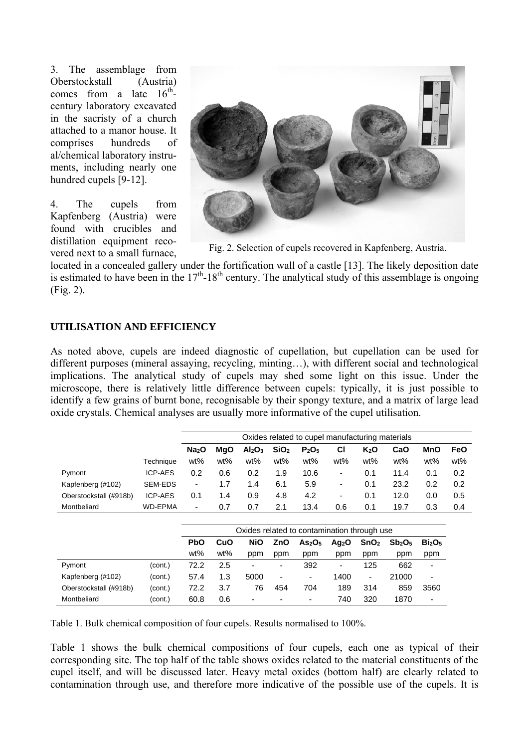3. The assemblage from Oberstockstall (Austria) comes from a late  $16^{th}$ century laboratory excavated in the sacristy of a church attached to a manor house. It comprises hundreds of al/chemical laboratory instruments, including nearly one hundred cupels [9-12].

4. The cupels from Kapfenberg (Austria) were found with crucibles and distillation equipment recovered next to a small furnace,



Fig. 2. Selection of cupels recovered in Kapfenberg, Austria.

located in a concealed gallery under the fortification wall of a castle [13]. The likely deposition date is estimated to have been in the  $17<sup>th</sup>$ -18<sup>th</sup> century. The analytical study of this assemblage is ongoing (Fig. 2).

# **UTILISATION AND EFFICIENCY**

As noted above, cupels are indeed diagnostic of cupellation, but cupellation can be used for different purposes (mineral assaying, recycling, minting…), with different social and technological implications. The analytical study of cupels may shed some light on this issue. Under the microscope, there is relatively little difference between cupels: typically, it is just possible to identify a few grains of burnt bone, recognisable by their spongy texture, and a matrix of large lead oxide crystals. Chemical analyses are usually more informative of the cupel utilisation.

|                        |                | Oxides related to cupel manufacturing materials |            |                                |                          |                                |                          |                          |                                |                                |            |
|------------------------|----------------|-------------------------------------------------|------------|--------------------------------|--------------------------|--------------------------------|--------------------------|--------------------------|--------------------------------|--------------------------------|------------|
|                        |                | Na <sub>2</sub> O                               | <b>MgO</b> | Al <sub>2</sub> O <sub>3</sub> | SiO <sub>2</sub>         | P <sub>2</sub> O <sub>5</sub>  | СI                       | $K_2O$                   | CaO                            | <b>MnO</b>                     | <b>FeO</b> |
|                        | Technique      | wt%                                             | wt%        | wt%                            | wt%                      | wt%                            | wt%                      | wt%                      | wt%                            | wt%                            | wt%        |
| Pymont                 | <b>ICP-AES</b> | 0.2                                             | 0.6        | 0.2                            | 1.9                      | 10.6                           | $\overline{\phantom{a}}$ | 0.1                      | 11.4                           | 0.1                            | 0.2        |
| Kapfenberg (#102)      | <b>SEM-EDS</b> | $\overline{\phantom{a}}$                        | 1.7        | 1.4                            | 6.1                      | 5.9                            | $\overline{\phantom{a}}$ | 0.1                      | 23.2                           | 0.2                            | 0.2        |
| Oberstockstall (#918b) | <b>ICP-AES</b> | 0.1                                             | 1.4        | 0.9                            | 4.8                      | 4.2                            | $\overline{\phantom{a}}$ | 0.1                      | 12.0                           | 0.0                            | 0.5        |
| Montbeliard            | <b>WD-EPMA</b> | $\overline{\phantom{a}}$                        | 0.7        | 0.7                            | 2.1                      | 13.4                           | 0.6                      | 0.1                      | 19.7                           | 0.3                            | 0.4        |
|                        |                |                                                 |            |                                |                          |                                |                          |                          |                                |                                |            |
|                        |                | Oxides related to contamination through use     |            |                                |                          |                                |                          |                          |                                |                                |            |
|                        |                | <b>PbO</b>                                      | CuO        | <b>NiO</b>                     | ZnO                      | As <sub>2</sub> O <sub>5</sub> | Ag <sub>2</sub> O        | SnO <sub>2</sub>         | Sb <sub>2</sub> O <sub>5</sub> | Bi <sub>2</sub> O <sub>5</sub> |            |
|                        |                | wt%                                             | wt%        | ppm                            | ppm                      | ppm                            | ppm                      | ppm                      | ppm                            | ppm                            |            |
| Pymont                 | (cont.)        | 72.2                                            | 2.5        | ٠                              | $\overline{\phantom{a}}$ | 392                            | $\overline{\phantom{a}}$ | 125                      | 662                            | $\blacksquare$                 |            |
| Kapfenberg (#102)      | (cont.)        | 57.4                                            | 1.3        | 5000                           | $\overline{\phantom{a}}$ | ۰                              | 1400                     | $\overline{\phantom{a}}$ | 21000                          | ٠                              |            |
| Oberstockstall (#918b) | (cont.)        | 72.2                                            | 3.7        | 76                             | 454                      | 704                            | 189                      | 314                      | 859                            | 3560                           |            |
| Montbeliard            | (cont.)        | 60.8                                            | 0.6        | ۰                              | ٠                        | ٠                              | 740                      | 320                      | 1870                           | ٠                              |            |

Table 1. Bulk chemical composition of four cupels. Results normalised to 100%.

Table 1 shows the bulk chemical compositions of four cupels, each one as typical of their corresponding site. The top half of the table shows oxides related to the material constituents of the cupel itself, and will be discussed later. Heavy metal oxides (bottom half) are clearly related to contamination through use, and therefore more indicative of the possible use of the cupels. It is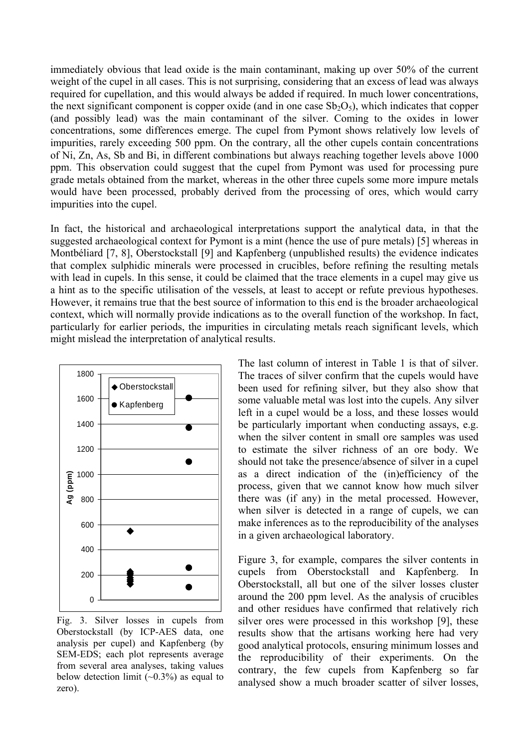immediately obvious that lead oxide is the main contaminant, making up over 50% of the current weight of the cupel in all cases. This is not surprising, considering that an excess of lead was always required for cupellation, and this would always be added if required. In much lower concentrations, the next significant component is copper oxide (and in one case  $Sb_2O_5$ ), which indicates that copper (and possibly lead) was the main contaminant of the silver. Coming to the oxides in lower concentrations, some differences emerge. The cupel from Pymont shows relatively low levels of impurities, rarely exceeding 500 ppm. On the contrary, all the other cupels contain concentrations of Ni, Zn, As, Sb and Bi, in different combinations but always reaching together levels above 1000 ppm. This observation could suggest that the cupel from Pymont was used for processing pure grade metals obtained from the market, whereas in the other three cupels some more impure metals would have been processed, probably derived from the processing of ores, which would carry impurities into the cupel.

In fact, the historical and archaeological interpretations support the analytical data, in that the suggested archaeological context for Pymont is a mint (hence the use of pure metals) [5] whereas in Montbéliard [7, 8], Oberstockstall [9] and Kapfenberg (unpublished results) the evidence indicates that complex sulphidic minerals were processed in crucibles, before refining the resulting metals with lead in cupels. In this sense, it could be claimed that the trace elements in a cupel may give us a hint as to the specific utilisation of the vessels, at least to accept or refute previous hypotheses. However, it remains true that the best source of information to this end is the broader archaeological context, which will normally provide indications as to the overall function of the workshop. In fact, particularly for earlier periods, the impurities in circulating metals reach significant levels, which might mislead the interpretation of analytical results.



Fig. 3. Silver losses in cupels from Oberstockstall (by ICP-AES data, one analysis per cupel) and Kapfenberg (by SEM-EDS; each plot represents average from several area analyses, taking values below detection limit  $(\sim 0.3\%)$  as equal to zero).

The last column of interest in Table 1 is that of silver. The traces of silver confirm that the cupels would have been used for refining silver, but they also show that some valuable metal was lost into the cupels. Any silver left in a cupel would be a loss, and these losses would be particularly important when conducting assays, e.g. when the silver content in small ore samples was used to estimate the silver richness of an ore body. We should not take the presence/absence of silver in a cupel as a direct indication of the (in)efficiency of the process, given that we cannot know how much silver there was (if any) in the metal processed. However, when silver is detected in a range of cupels, we can make inferences as to the reproducibility of the analyses in a given archaeological laboratory.

Figure 3, for example, compares the silver contents in cupels from Oberstockstall and Kapfenberg. In Oberstockstall, all but one of the silver losses cluster around the 200 ppm level. As the analysis of crucibles and other residues have confirmed that relatively rich silver ores were processed in this workshop [9], these results show that the artisans working here had very good analytical protocols, ensuring minimum losses and the reproducibility of their experiments. On the contrary, the few cupels from Kapfenberg so far analysed show a much broader scatter of silver losses,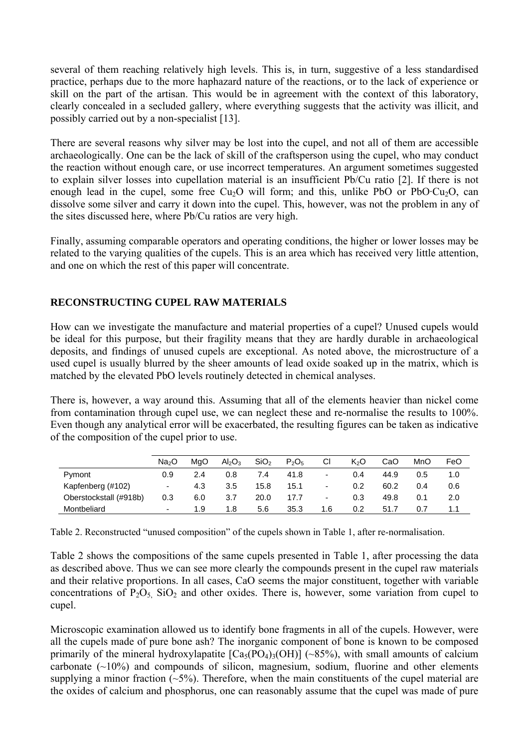several of them reaching relatively high levels. This is, in turn, suggestive of a less standardised practice, perhaps due to the more haphazard nature of the reactions, or to the lack of experience or skill on the part of the artisan. This would be in agreement with the context of this laboratory, clearly concealed in a secluded gallery, where everything suggests that the activity was illicit, and possibly carried out by a non-specialist [13].

There are several reasons why silver may be lost into the cupel, and not all of them are accessible archaeologically. One can be the lack of skill of the craftsperson using the cupel, who may conduct the reaction without enough care, or use incorrect temperatures. An argument sometimes suggested to explain silver losses into cupellation material is an insufficient Pb/Cu ratio [2]. If there is not enough lead in the cupel, some free  $Cu<sub>2</sub>O$  will form; and this, unlike PbO or PbO·Cu<sub>2</sub>O, can dissolve some silver and carry it down into the cupel. This, however, was not the problem in any of the sites discussed here, where Pb/Cu ratios are very high.

Finally, assuming comparable operators and operating conditions, the higher or lower losses may be related to the varying qualities of the cupels. This is an area which has received very little attention, and one on which the rest of this paper will concentrate.

# **RECONSTRUCTING CUPEL RAW MATERIALS**

How can we investigate the manufacture and material properties of a cupel? Unused cupels would be ideal for this purpose, but their fragility means that they are hardly durable in archaeological deposits, and findings of unused cupels are exceptional. As noted above, the microstructure of a used cupel is usually blurred by the sheer amounts of lead oxide soaked up in the matrix, which is matched by the elevated PbO levels routinely detected in chemical analyses.

There is, however, a way around this. Assuming that all of the elements heavier than nickel come from contamination through cupel use, we can neglect these and re-normalise the results to 100%. Even though any analytical error will be exacerbated, the resulting figures can be taken as indicative of the composition of the cupel prior to use.

|                        | Na <sub>2</sub> O        | MaO | Al <sub>2</sub> O <sub>3</sub> | SiO <sub>2</sub> | $P_2O_5$ | CI                       | $K_2O$ | CaO  | MnO | FeO |
|------------------------|--------------------------|-----|--------------------------------|------------------|----------|--------------------------|--------|------|-----|-----|
| Pymont                 | 0.9                      | 2.4 | 0.8                            | 7.4              | 41.8     | $\overline{\phantom{0}}$ | 0.4    | 44.9 | 0.5 | 1.0 |
| Kapfenberg (#102)      | $\overline{a}$           | 4.3 | 3.5                            | 15.8             | 15.1     | $\overline{\phantom{a}}$ | 0.2    | 60.2 | 0.4 | 0.6 |
| Oberstockstall (#918b) | 0.3                      | 6.0 | 3.7                            | 20.0             | 17.7     | $\overline{\phantom{a}}$ | 0.3    | 49.8 | 0.1 | 2.0 |
| Montbeliard            | $\overline{\phantom{0}}$ | 1.9 | 1.8                            | 5.6              | 35.3     | 1.6                      | 0.2    | 51.7 | 0.7 | 1.1 |

Table 2. Reconstructed "unused composition" of the cupels shown in Table 1, after re-normalisation.

Table 2 shows the compositions of the same cupels presented in Table 1, after processing the data as described above. Thus we can see more clearly the compounds present in the cupel raw materials and their relative proportions. In all cases, CaO seems the major constituent, together with variable concentrations of  $P_2O_5$ ,  $SiO_2$  and other oxides. There is, however, some variation from cupel to cupel.

Microscopic examination allowed us to identify bone fragments in all of the cupels. However, were all the cupels made of pure bone ash? The inorganic component of bone is known to be composed primarily of the mineral hydroxylapatite  $[Ca<sub>5</sub>(PO<sub>4</sub>)<sub>3</sub>(OH)]$  (~85%), with small amounts of calcium carbonate  $(\sim 10\%)$  and compounds of silicon, magnesium, sodium, fluorine and other elements supplying a minor fraction  $(-5\%)$ . Therefore, when the main constituents of the cupel material are the oxides of calcium and phosphorus, one can reasonably assume that the cupel was made of pure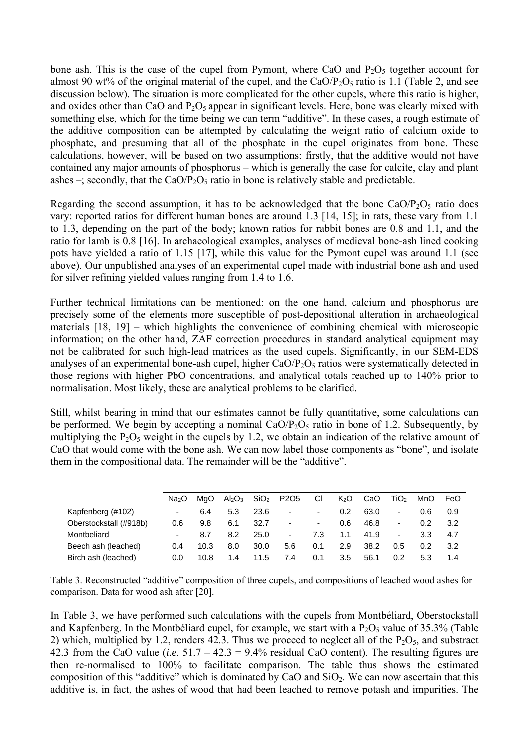bone ash. This is the case of the cupel from Pymont, where CaO and  $P_2O_5$  together account for almost 90 wt% of the original material of the cupel, and the CaO/P<sub>2</sub>O<sub>5</sub> ratio is 1.1 (Table 2, and see discussion below). The situation is more complicated for the other cupels, where this ratio is higher, and oxides other than CaO and  $P_2O_5$  appear in significant levels. Here, bone was clearly mixed with something else, which for the time being we can term "additive". In these cases, a rough estimate of the additive composition can be attempted by calculating the weight ratio of calcium oxide to phosphate, and presuming that all of the phosphate in the cupel originates from bone. These calculations, however, will be based on two assumptions: firstly, that the additive would not have contained any major amounts of phosphorus – which is generally the case for calcite, clay and plant ashes –; secondly, that the  $CaO/P<sub>2</sub>O<sub>5</sub>$  ratio in bone is relatively stable and predictable.

Regarding the second assumption, it has to be acknowledged that the bone  $CaO/P<sub>2</sub>O<sub>5</sub>$  ratio does vary: reported ratios for different human bones are around 1.3 [14, 15]; in rats, these vary from 1.1 to 1.3, depending on the part of the body; known ratios for rabbit bones are 0.8 and 1.1, and the ratio for lamb is 0.8 [16]. In archaeological examples, analyses of medieval bone-ash lined cooking pots have yielded a ratio of 1.15 [17], while this value for the Pymont cupel was around 1.1 (see above). Our unpublished analyses of an experimental cupel made with industrial bone ash and used for silver refining yielded values ranging from 1.4 to 1.6.

Further technical limitations can be mentioned: on the one hand, calcium and phosphorus are precisely some of the elements more susceptible of post-depositional alteration in archaeological materials [18, 19] – which highlights the convenience of combining chemical with microscopic information; on the other hand, ZAF correction procedures in standard analytical equipment may not be calibrated for such high-lead matrices as the used cupels. Significantly, in our SEM-EDS analyses of an experimental bone-ash cupel, higher  $CaO/P<sub>2</sub>O<sub>5</sub>$  ratios were systematically detected in those regions with higher PbO concentrations, and analytical totals reached up to 140% prior to normalisation. Most likely, these are analytical problems to be clarified.

Still, whilst bearing in mind that our estimates cannot be fully quantitative, some calculations can be performed. We begin by accepting a nominal  $CaO/P<sub>2</sub>O<sub>5</sub>$  ratio in bone of 1.2. Subsequently, by multiplying the  $P_2O_5$  weight in the cupels by 1.2, we obtain an indication of the relative amount of CaO that would come with the bone ash. We can now label those components as "bone", and isolate them in the compositional data. The remainder will be the "additive".

|                        | Na∍O                     | MaO  | Al <sub>2</sub> O <sub>3</sub> | SiO <sub>2</sub> | P <sub>2</sub> O <sub>5</sub> | СI                       | K <sub>2</sub> O | CaO  | TiO2 | MnO | FeO |
|------------------------|--------------------------|------|--------------------------------|------------------|-------------------------------|--------------------------|------------------|------|------|-----|-----|
| Kapfenberg (#102)      |                          | 6.4  | 5.3                            | 23.6             | ۰                             | $\overline{\phantom{0}}$ | 0.2              | 63.0 | ۰    | 0.6 | 0.9 |
| Oberstockstall (#918b) | 0.6                      | 9.8  | 6.1                            | 32.7             | ۰                             | ۰.                       | 0.6              | 46.8 | ۰    | 0.2 | 3.2 |
| Montbeliard            | $\overline{\phantom{a}}$ | 8.7  | 8.2                            | 25.0             | ۰                             | 7.3                      | 1.1              | 41.9 | ۰    | 3.3 | 4.7 |
| Beech ash (leached)    | 0.4                      | 10.3 | 8.0                            | 30.0             | 5.6                           | 0.1                      | 2.9              | 38.2 | 0.5  | 0.2 | 3.2 |
| Birch ash (leached)    | 0.0                      | 10.8 | 1.4                            | 11.5             | 7.4                           | 0.1                      | 3.5              | 56.1 | 0.2  | 5.3 | 1.4 |

Table 3. Reconstructed "additive" composition of three cupels, and compositions of leached wood ashes for comparison. Data for wood ash after [20].

In Table 3, we have performed such calculations with the cupels from Montbéliard, Oberstockstall and Kapfenberg. In the Montbéliard cupel, for example, we start with a  $P_2O_5$  value of 35.3% (Table 2) which, multiplied by 1.2, renders 42.3. Thus we proceed to neglect all of the  $P_2O_5$ , and substract 42.3 from the CaO value (*i.e*. 51.7 – 42.3 = 9.4% residual CaO content). The resulting figures are then re-normalised to 100% to facilitate comparison. The table thus shows the estimated composition of this "additive" which is dominated by CaO and  $SiO<sub>2</sub>$ . We can now ascertain that this additive is, in fact, the ashes of wood that had been leached to remove potash and impurities. The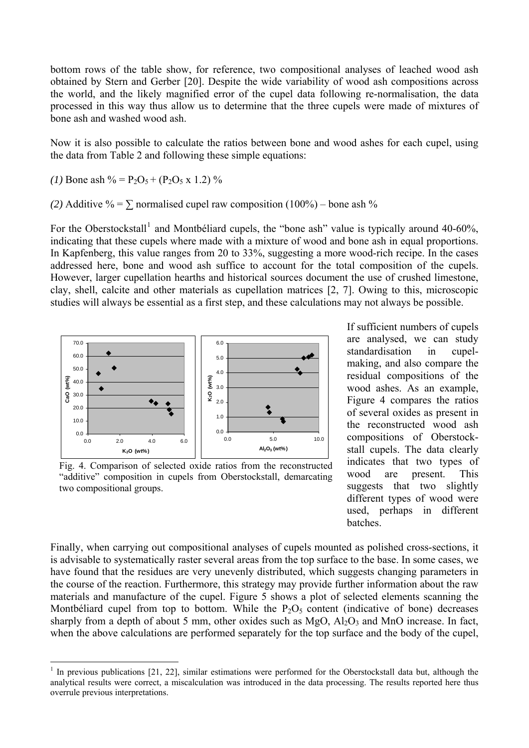bottom rows of the table show, for reference, two compositional analyses of leached wood ash obtained by Stern and Gerber [20]. Despite the wide variability of wood ash compositions across the world, and the likely magnified error of the cupel data following re-normalisation, the data processed in this way thus allow us to determine that the three cupels were made of mixtures of bone ash and washed wood ash.

Now it is also possible to calculate the ratios between bone and wood ashes for each cupel, using the data from Table 2 and following these simple equations:

*(1)* Bone ash  $\% = P_2O_5 + (P_2O_5 \times 1.2)$  %

 $\overline{a}$ 

(2) Additive % =  $\Sigma$  normalised cupel raw composition (100%) – bone ash %

For the Oberstockstall<sup>[1](#page-6-0)</sup> and Montbéliard cupels, the "bone ash" value is typically around 40-60%, indicating that these cupels where made with a mixture of wood and bone ash in equal proportions. In Kapfenberg, this value ranges from 20 to 33%, suggesting a more wood-rich recipe. In the cases addressed here, bone and wood ash suffice to account for the total composition of the cupels. However, larger cupellation hearths and historical sources document the use of crushed limestone, clay, shell, calcite and other materials as cupellation matrices [2, 7]. Owing to this, microscopic studies will always be essential as a first step, and these calculations may not always be possible.



Fig. 4. Comparison of selected oxide ratios from the reconstructed "additive" composition in cupels from Oberstockstall, demarcating two compositional groups.

If sufficient numbers of cupels are analysed, we can study standardisation in cupelmaking, and also compare the residual compositions of the wood ashes. As an example, Figure 4 compares the ratios of several oxides as present in the reconstructed wood ash compositions of Oberstockstall cupels. The data clearly indicates that two types of wood are present. This suggests that two slightly different types of wood were used, perhaps in different batches.

Finally, when carrying out compositional analyses of cupels mounted as polished cross-sections, it is advisable to systematically raster several areas from the top surface to the base. In some cases, we have found that the residues are very unevenly distributed, which suggests changing parameters in the course of the reaction. Furthermore, this strategy may provide further information about the raw materials and manufacture of the cupel. Figure 5 shows a plot of selected elements scanning the Montbéliard cupel from top to bottom. While the  $P_2O_5$  content (indicative of bone) decreases sharply from a depth of about 5 mm, other oxides such as  $MgO$ ,  $Al_2O_3$  and MnO increase. In fact, when the above calculations are performed separately for the top surface and the body of the cupel,

<span id="page-6-0"></span> $1$  In previous publications [21, 22], similar estimations were performed for the Oberstockstall data but, although the analytical results were correct, a miscalculation was introduced in the data processing. The results reported here thus overrule previous interpretations.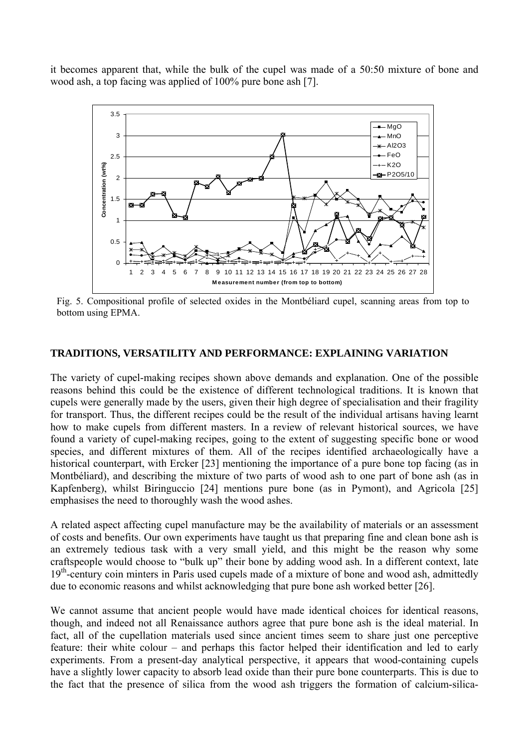it becomes apparent that, while the bulk of the cupel was made of a 50:50 mixture of bone and wood ash, a top facing was applied of 100% pure bone ash [7].



Fig. 5. Compositional profile of selected oxides in the Montbéliard cupel, scanning areas from top to bottom using EPMA.

#### **TRADITIONS, VERSATILITY AND PERFORMANCE: EXPLAINING VARIATION**

The variety of cupel-making recipes shown above demands and explanation. One of the possible reasons behind this could be the existence of different technological traditions. It is known that cupels were generally made by the users, given their high degree of specialisation and their fragility for transport. Thus, the different recipes could be the result of the individual artisans having learnt how to make cupels from different masters. In a review of relevant historical sources, we have found a variety of cupel-making recipes, going to the extent of suggesting specific bone or wood species, and different mixtures of them. All of the recipes identified archaeologically have a historical counterpart, with Ercker [23] mentioning the importance of a pure bone top facing (as in Montbéliard), and describing the mixture of two parts of wood ash to one part of bone ash (as in Kapfenberg), whilst Biringuccio [24] mentions pure bone (as in Pymont), and Agricola [25] emphasises the need to thoroughly wash the wood ashes.

A related aspect affecting cupel manufacture may be the availability of materials or an assessment of costs and benefits. Our own experiments have taught us that preparing fine and clean bone ash is an extremely tedious task with a very small yield, and this might be the reason why some craftspeople would choose to "bulk up" their bone by adding wood ash. In a different context, late 19<sup>th</sup>-century coin minters in Paris used cupels made of a mixture of bone and wood ash, admittedly due to economic reasons and whilst acknowledging that pure bone ash worked better [26].

We cannot assume that ancient people would have made identical choices for identical reasons, though, and indeed not all Renaissance authors agree that pure bone ash is the ideal material. In fact, all of the cupellation materials used since ancient times seem to share just one perceptive feature: their white colour – and perhaps this factor helped their identification and led to early experiments. From a present-day analytical perspective, it appears that wood-containing cupels have a slightly lower capacity to absorb lead oxide than their pure bone counterparts. This is due to the fact that the presence of silica from the wood ash triggers the formation of calcium-silica-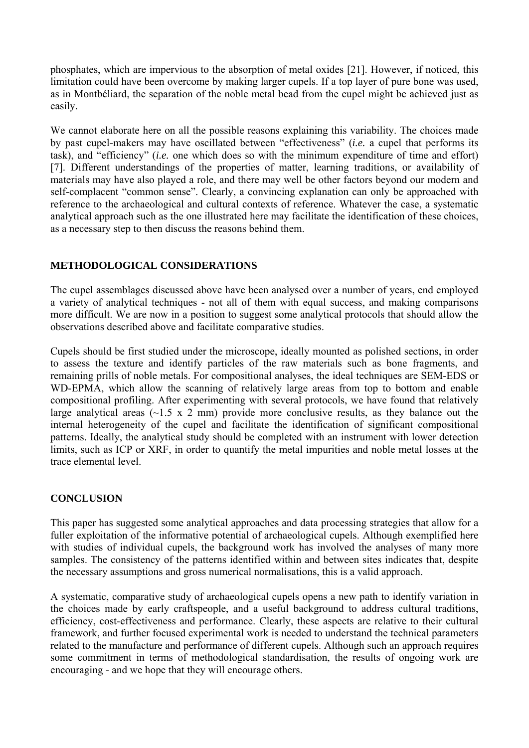phosphates, which are impervious to the absorption of metal oxides [21]. However, if noticed, this limitation could have been overcome by making larger cupels. If a top layer of pure bone was used, as in Montbéliard, the separation of the noble metal bead from the cupel might be achieved just as easily.

We cannot elaborate here on all the possible reasons explaining this variability. The choices made by past cupel-makers may have oscillated between "effectiveness" (*i.e.* a cupel that performs its task), and "efficiency" (*i.e.* one which does so with the minimum expenditure of time and effort) [7]. Different understandings of the properties of matter, learning traditions, or availability of materials may have also played a role, and there may well be other factors beyond our modern and self-complacent "common sense". Clearly, a convincing explanation can only be approached with reference to the archaeological and cultural contexts of reference. Whatever the case, a systematic analytical approach such as the one illustrated here may facilitate the identification of these choices, as a necessary step to then discuss the reasons behind them.

## **METHODOLOGICAL CONSIDERATIONS**

The cupel assemblages discussed above have been analysed over a number of years, end employed a variety of analytical techniques - not all of them with equal success, and making comparisons more difficult. We are now in a position to suggest some analytical protocols that should allow the observations described above and facilitate comparative studies.

Cupels should be first studied under the microscope, ideally mounted as polished sections, in order to assess the texture and identify particles of the raw materials such as bone fragments, and remaining prills of noble metals. For compositional analyses, the ideal techniques are SEM-EDS or WD-EPMA, which allow the scanning of relatively large areas from top to bottom and enable compositional profiling. After experimenting with several protocols, we have found that relatively large analytical areas  $(\sim 1.5 \times 2 \text{ mm})$  provide more conclusive results, as they balance out the internal heterogeneity of the cupel and facilitate the identification of significant compositional patterns. Ideally, the analytical study should be completed with an instrument with lower detection limits, such as ICP or XRF, in order to quantify the metal impurities and noble metal losses at the trace elemental level.

## **CONCLUSION**

This paper has suggested some analytical approaches and data processing strategies that allow for a fuller exploitation of the informative potential of archaeological cupels. Although exemplified here with studies of individual cupels, the background work has involved the analyses of many more samples. The consistency of the patterns identified within and between sites indicates that, despite the necessary assumptions and gross numerical normalisations, this is a valid approach.

A systematic, comparative study of archaeological cupels opens a new path to identify variation in the choices made by early craftspeople, and a useful background to address cultural traditions, efficiency, cost-effectiveness and performance. Clearly, these aspects are relative to their cultural framework, and further focused experimental work is needed to understand the technical parameters related to the manufacture and performance of different cupels. Although such an approach requires some commitment in terms of methodological standardisation, the results of ongoing work are encouraging - and we hope that they will encourage others.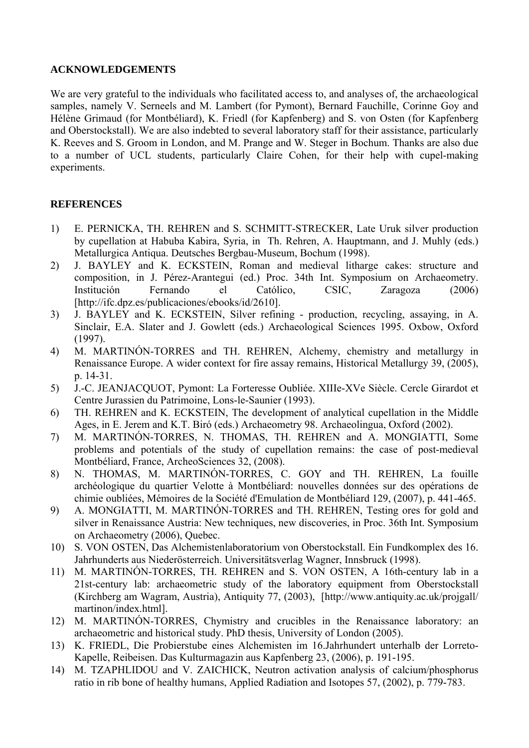#### **ACKNOWLEDGEMENTS**

We are very grateful to the individuals who facilitated access to, and analyses of, the archaeological samples, namely V. Serneels and M. Lambert (for Pymont), Bernard Fauchille, Corinne Goy and Hélène Grimaud (for Montbéliard), K. Friedl (for Kapfenberg) and S. von Osten (for Kapfenberg and Oberstockstall). We are also indebted to several laboratory staff for their assistance, particularly K. Reeves and S. Groom in London, and M. Prange and W. Steger in Bochum. Thanks are also due to a number of UCL students, particularly Claire Cohen, for their help with cupel-making experiments.

## **REFERENCES**

- 1) E. PERNICKA, TH. REHREN and S. SCHMITT-STRECKER, Late Uruk silver production by cupellation at Habuba Kabira, Syria, in Th. Rehren, A. Hauptmann, and J. Muhly (eds.) Metallurgica Antiqua. Deutsches Bergbau-Museum, Bochum (1998).
- 2) J. BAYLEY and K. ECKSTEIN, Roman and medieval litharge cakes: structure and composition, in J. Pérez-Arantegui (ed.) Proc. 34th Int. Symposium on Archaeometry. Institución Fernando el Católico, CSIC, Zaragoza (2006) [http://ifc.dpz.es/publicaciones/ebooks/id/2610].
- 3) J. BAYLEY and K. ECKSTEIN, Silver refining production, recycling, assaying, in A. Sinclair, E.A. Slater and J. Gowlett (eds.) Archaeological Sciences 1995. Oxbow, Oxford (1997).
- 4) M. MARTINÓN-TORRES and TH. REHREN, Alchemy, chemistry and metallurgy in Renaissance Europe. A wider context for fire assay remains, Historical Metallurgy 39, (2005), p. 14-31.
- 5) J.-C. JEANJACQUOT, Pymont: La Forteresse Oubliée. XIIIe-XVe Siècle. Cercle Girardot et Centre Jurassien du Patrimoine, Lons-le-Saunier (1993).
- 6) TH. REHREN and K. ECKSTEIN, The development of analytical cupellation in the Middle Ages, in E. Jerem and K.T. Biró (eds.) Archaeometry 98. Archaeolingua, Oxford (2002).
- 7) M. MARTINÓN-TORRES, N. THOMAS, TH. REHREN and A. MONGIATTI, Some problems and potentials of the study of cupellation remains: the case of post-medieval Montbéliard, France, ArcheoSciences 32, (2008).
- 8) N. THOMAS, M. MARTINÓN-TORRES, C. GOY and TH. REHREN, La fouille archéologique du quartier Velotte à Montbéliard: nouvelles données sur des opérations de chimie oubliées, Mémoires de la Société d'Emulation de Montbéliard 129, (2007), p. 441-465.
- 9) A. MONGIATTI, M. MARTINÓN-TORRES and TH. REHREN, Testing ores for gold and silver in Renaissance Austria: New techniques, new discoveries, in Proc. 36th Int. Symposium on Archaeometry (2006), Quebec.
- 10) S. VON OSTEN, Das Alchemistenlaboratorium von Oberstockstall. Ein Fundkomplex des 16. Jahrhunderts aus Niederösterreich. Universitätsverlag Wagner, Innsbruck (1998).
- 11) M. MARTINÓN-TORRES, TH. REHREN and S. VON OSTEN, A 16th-century lab in a 21st-century lab: archaeometric study of the laboratory equipment from Oberstockstall (Kirchberg am Wagram, Austria), Antiquity 77, (2003), [http://www.antiquity.ac.uk/projgall/ martinon/index.html].
- 12) M. MARTINÓN-TORRES, Chymistry and crucibles in the Renaissance laboratory: an archaeometric and historical study. PhD thesis, University of London (2005).
- 13) K. FRIEDL, Die Probierstube eines Alchemisten im 16.Jahrhundert unterhalb der Lorreto-Kapelle, Reibeisen. Das Kulturmagazin aus Kapfenberg 23, (2006), p. 191-195.
- 14) M. TZAPHLIDOU and V. ZAICHICK, Neutron activation analysis of calcium/phosphorus ratio in rib bone of healthy humans, Applied Radiation and Isotopes 57, (2002), p. 779-783.